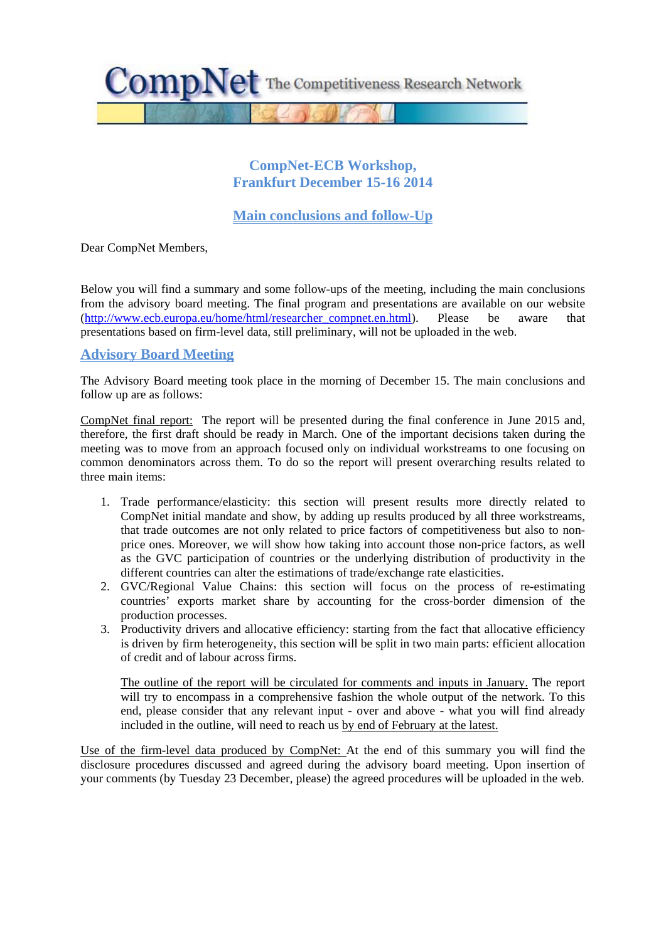

## **CompNet-ECB Workshop, Frankfurt December 15-16 2014**

# **Main conclusions and follow-Up**

Dear CompNet Members,

Below you will find a summary and some follow-ups of the meeting, including the main conclusions from the advisory board meeting. The final program and presentations are available on our website [\(http://www.ecb.europa.eu/home/html/researcher\\_compnet.en.html\)](http://www.ecb.europa.eu/home/html/researcher_compnet.en.html). Please be aware that presentations based on firm-level data, still preliminary, will not be uploaded in the web.

### **Advisory Board Meeting**

The Advisory Board meeting took place in the morning of December 15. The main conclusions and follow up are as follows:

CompNet final report: The report will be presented during the final conference in June 2015 and, therefore, the first draft should be ready in March. One of the important decisions taken during the meeting was to move from an approach focused only on individual workstreams to one focusing on common denominators across them. To do so the report will present overarching results related to three main items:

- 1. Trade performance/elasticity: this section will present results more directly related to CompNet initial mandate and show, by adding up results produced by all three workstreams, that trade outcomes are not only related to price factors of competitiveness but also to nonprice ones. Moreover, we will show how taking into account those non-price factors, as well as the GVC participation of countries or the underlying distribution of productivity in the different countries can alter the estimations of trade/exchange rate elasticities.
- 2. GVC/Regional Value Chains: this section will focus on the process of re-estimating countries' exports market share by accounting for the cross-border dimension of the production processes.
- 3. Productivity drivers and allocative efficiency: starting from the fact that allocative efficiency is driven by firm heterogeneity, this section will be split in two main parts: efficient allocation of credit and of labour across firms.

The outline of the report will be circulated for comments and inputs in January. The report will try to encompass in a comprehensive fashion the whole output of the network. To this end, please consider that any relevant input - over and above - what you will find already included in the outline, will need to reach us by end of February at the latest.

Use of the firm-level data produced by CompNet: At the end of this summary you will find the disclosure procedures discussed and agreed during the advisory board meeting. Upon insertion of your comments (by Tuesday 23 December, please) the agreed procedures will be uploaded in the web.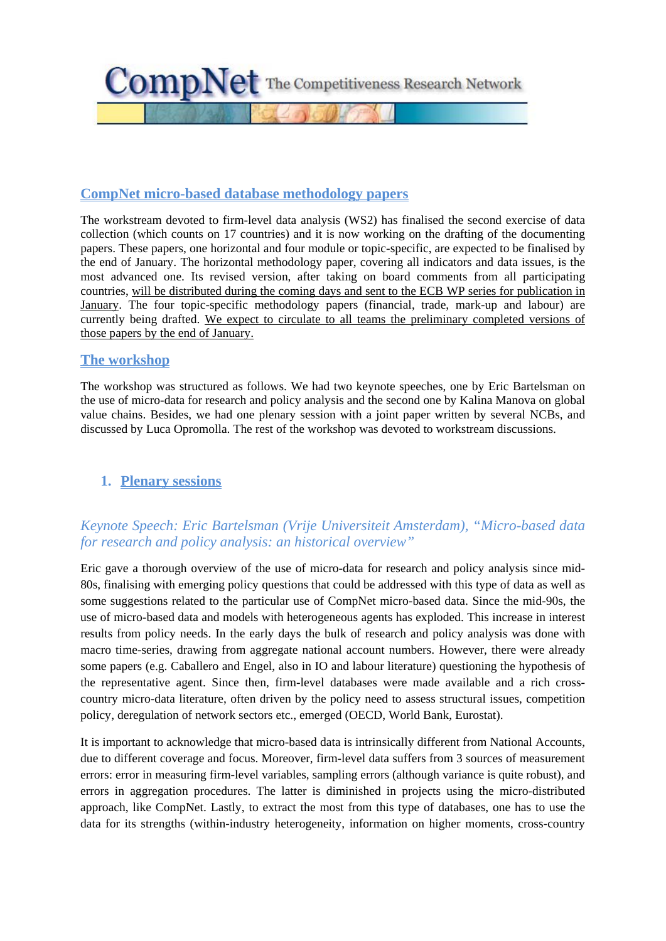

## **CompNet micro-based database methodology papers**

The workstream devoted to firm-level data analysis (WS2) has finalised the second exercise of data collection (which counts on 17 countries) and it is now working on the drafting of the documenting papers. These papers, one horizontal and four module or topic-specific, are expected to be finalised by the end of January. The horizontal methodology paper, covering all indicators and data issues, is the most advanced one. Its revised version, after taking on board comments from all participating countries, will be distributed during the coming days and sent to the ECB WP series for publication in January. The four topic-specific methodology papers (financial, trade, mark-up and labour) are currently being drafted. We expect to circulate to all teams the preliminary completed versions of those papers by the end of January.

### **The workshop**

The workshop was structured as follows. We had two keynote speeches, one by Eric Bartelsman on the use of micro-data for research and policy analysis and the second one by Kalina Manova on global value chains. Besides, we had one plenary session with a joint paper written by several NCBs, and discussed by Luca Opromolla. The rest of the workshop was devoted to workstream discussions.

## **1. Plenary sessions**

# *Keynote Speech: Eric Bartelsman (Vrije Universiteit Amsterdam), "Micro-based data for research and policy analysis: an historical overview"*

Eric gave a thorough overview of the use of micro-data for research and policy analysis since mid-80s, finalising with emerging policy questions that could be addressed with this type of data as well as some suggestions related to the particular use of CompNet micro-based data. Since the mid-90s, the use of micro-based data and models with heterogeneous agents has exploded. This increase in interest results from policy needs. In the early days the bulk of research and policy analysis was done with macro time-series, drawing from aggregate national account numbers. However, there were already some papers (e.g. Caballero and Engel, also in IO and labour literature) questioning the hypothesis of the representative agent. Since then, firm-level databases were made available and a rich crosscountry micro-data literature, often driven by the policy need to assess structural issues, competition policy, deregulation of network sectors etc., emerged (OECD, World Bank, Eurostat).

It is important to acknowledge that micro-based data is intrinsically different from National Accounts, due to different coverage and focus. Moreover, firm-level data suffers from 3 sources of measurement errors: error in measuring firm-level variables, sampling errors (although variance is quite robust), and errors in aggregation procedures. The latter is diminished in projects using the micro-distributed approach, like CompNet. Lastly, to extract the most from this type of databases, one has to use the data for its strengths (within-industry heterogeneity, information on higher moments, cross-country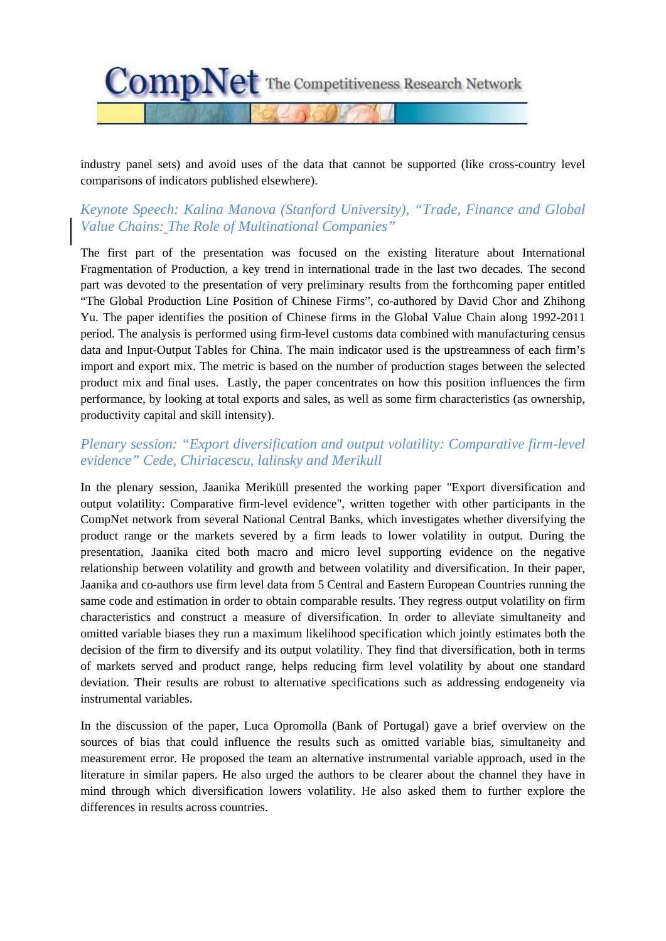

industry panel sets) and avoid uses of the data that cannot be supported (like cross-country level comparisons of indicators published elsewhere).

# *Keynote Speech: Kalina Manova (Stanford University), "Trade, Finance and Global Value Chains: The Role of Multinational Companies"*

The first part of the presentation was focused on the existing literature about International Fragmentation of Production, a key trend in international trade in the last two decades. The second part was devoted to the presentation of very preliminary results from the forthcoming paper entitled "The Global Production Line Position of Chinese Firms", co-authored by David Chor and Zhihong Yu. The paper identifies the position of Chinese firms in the Global Value Chain along 1992-2011 period. The analysis is performed using firm-level customs data combined with manufacturing census data and Input-Output Tables for China. The main indicator used is the upstreamness of each firm's import and export mix. The metric is based on the number of production stages between the selected product mix and final uses. Lastly, the paper concentrates on how this position influences the firm performance, by looking at total exports and sales, as well as some firm characteristics (as ownership, productivity capital and skill intensity).

## *Plenary session: "Export diversification and output volatility: Comparative firm-level evidence" Cede, Chiriacescu, lalinsky and Merikull*

In the plenary session, Jaanika Meriküll presented the working paper "Export diversification and output volatility: Comparative firm-level evidence", written together with other participants in the CompNet network from several National Central Banks, which investigates whether diversifying the product range or the markets severed by a firm leads to lower volatility in output. During the presentation, Jaanika cited both macro and micro level supporting evidence on the negative relationship between volatility and growth and between volatility and diversification. In their paper, Jaanika and co-authors use firm level data from 5 Central and Eastern European Countries running the same code and estimation in order to obtain comparable results. They regress output volatility on firm characteristics and construct a measure of diversification. In order to alleviate simultaneity and omitted variable biases they run a maximum likelihood specification which jointly estimates both the decision of the firm to diversify and its output volatility. They find that diversification, both in terms of markets served and product range, helps reducing firm level volatility by about one standard deviation. Their results are robust to alternative specifications such as addressing endogeneity via instrumental variables.

In the discussion of the paper, Luca Opromolla (Bank of Portugal) gave a brief overview on the sources of bias that could influence the results such as omitted variable bias, simultaneity and measurement error. He proposed the team an alternative instrumental variable approach, used in the literature in similar papers. He also urged the authors to be clearer about the channel they have in mind through which diversification lowers volatility. He also asked them to further explore the differences in results across countries.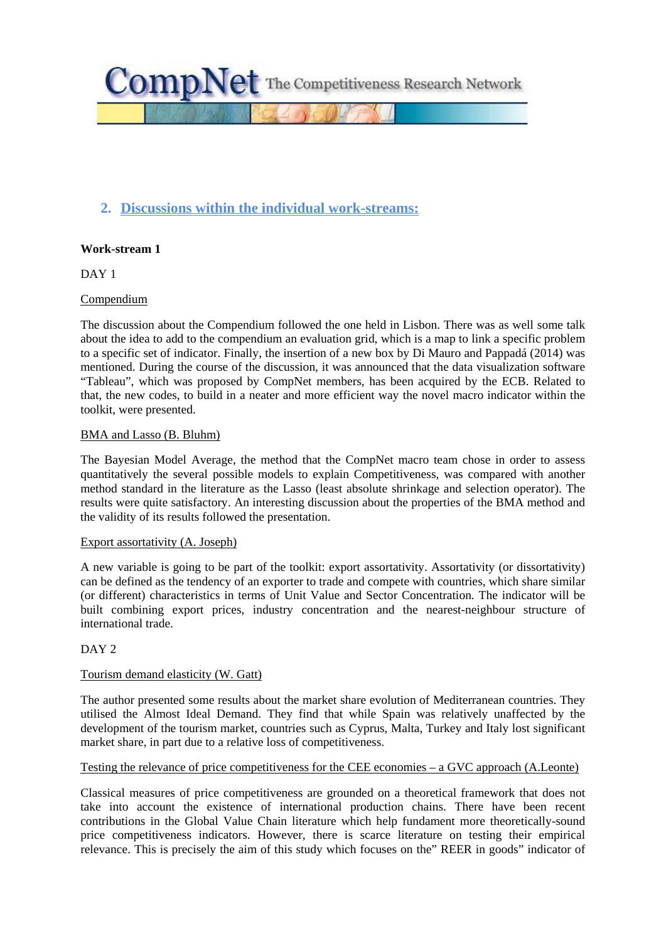

# **2. Discussions within the individual work-streams:**

### **Work-stream 1**

DAY<sub>1</sub>

### Compendium

The discussion about the Compendium followed the one held in Lisbon. There was as well some talk about the idea to add to the compendium an evaluation grid, which is a map to link a specific problem to a specific set of indicator. Finally, the insertion of a new box by Di Mauro and Pappadá (2014) was mentioned. During the course of the discussion, it was announced that the data visualization software "Tableau", which was proposed by CompNet members, has been acquired by the ECB. Related to that, the new codes, to build in a neater and more efficient way the novel macro indicator within the toolkit, were presented.

#### BMA and Lasso (B. Bluhm)

The Bayesian Model Average, the method that the CompNet macro team chose in order to assess quantitatively the several possible models to explain Competitiveness, was compared with another method standard in the literature as the Lasso (least absolute shrinkage and selection operator). The results were quite satisfactory. An interesting discussion about the properties of the BMA method and the validity of its results followed the presentation.

#### Export assortativity (A. Joseph)

A new variable is going to be part of the toolkit: export assortativity. Assortativity (or dissortativity) can be defined as the tendency of an exporter to trade and compete with countries, which share similar (or different) characteristics in terms of Unit Value and Sector Concentration. The indicator will be built combining export prices, industry concentration and the nearest-neighbour structure of international trade.

#### DAY 2

#### Tourism demand elasticity (W. Gatt)

The author presented some results about the market share evolution of Mediterranean countries. They utilised the Almost Ideal Demand. They find that while Spain was relatively unaffected by the development of the tourism market, countries such as Cyprus, Malta, Turkey and Italy lost significant market share, in part due to a relative loss of competitiveness.

#### Testing the relevance of price competitiveness for the CEE economies – a GVC approach (A.Leonte)

Classical measures of price competitiveness are grounded on a theoretical framework that does not take into account the existence of international production chains. There have been recent contributions in the Global Value Chain literature which help fundament more theoretically-sound price competitiveness indicators. However, there is scarce literature on testing their empirical relevance. This is precisely the aim of this study which focuses on the" REER in goods" indicator of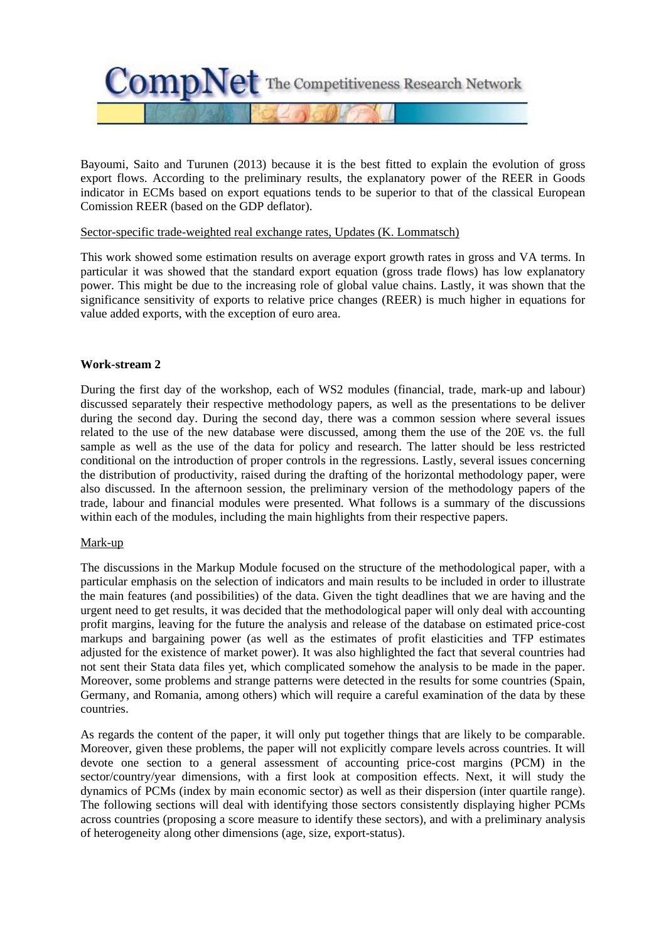

Bayoumi, Saito and Turunen (2013) because it is the best fitted to explain the evolution of gross export flows. According to the preliminary results, the explanatory power of the REER in Goods indicator in ECMs based on export equations tends to be superior to that of the classical European Comission REER (based on the GDP deflator).

#### Sector-specific trade-weighted real exchange rates, Updates (K. Lommatsch)

This work showed some estimation results on average export growth rates in gross and VA terms. In particular it was showed that the standard export equation (gross trade flows) has low explanatory power. This might be due to the increasing role of global value chains. Lastly, it was shown that the significance sensitivity of exports to relative price changes (REER) is much higher in equations for value added exports, with the exception of euro area.

#### **Work-stream 2**

During the first day of the workshop, each of WS2 modules (financial, trade, mark-up and labour) discussed separately their respective methodology papers, as well as the presentations to be deliver during the second day. During the second day, there was a common session where several issues related to the use of the new database were discussed, among them the use of the 20E vs. the full sample as well as the use of the data for policy and research. The latter should be less restricted conditional on the introduction of proper controls in the regressions. Lastly, several issues concerning the distribution of productivity, raised during the drafting of the horizontal methodology paper, were also discussed. In the afternoon session, the preliminary version of the methodology papers of the trade, labour and financial modules were presented. What follows is a summary of the discussions within each of the modules, including the main highlights from their respective papers.

#### Mark-up

The discussions in the Markup Module focused on the structure of the methodological paper, with a particular emphasis on the selection of indicators and main results to be included in order to illustrate the main features (and possibilities) of the data. Given the tight deadlines that we are having and the urgent need to get results, it was decided that the methodological paper will only deal with accounting profit margins, leaving for the future the analysis and release of the database on estimated price-cost markups and bargaining power (as well as the estimates of profit elasticities and TFP estimates adjusted for the existence of market power). It was also highlighted the fact that several countries had not sent their Stata data files yet, which complicated somehow the analysis to be made in the paper. Moreover, some problems and strange patterns were detected in the results for some countries (Spain, Germany, and Romania, among others) which will require a careful examination of the data by these countries.

As regards the content of the paper, it will only put together things that are likely to be comparable. Moreover, given these problems, the paper will not explicitly compare levels across countries. It will devote one section to a general assessment of accounting price-cost margins (PCM) in the sector/country/year dimensions, with a first look at composition effects. Next, it will study the dynamics of PCMs (index by main economic sector) as well as their dispersion (inter quartile range). The following sections will deal with identifying those sectors consistently displaying higher PCMs across countries (proposing a score measure to identify these sectors), and with a preliminary analysis of heterogeneity along other dimensions (age, size, export-status).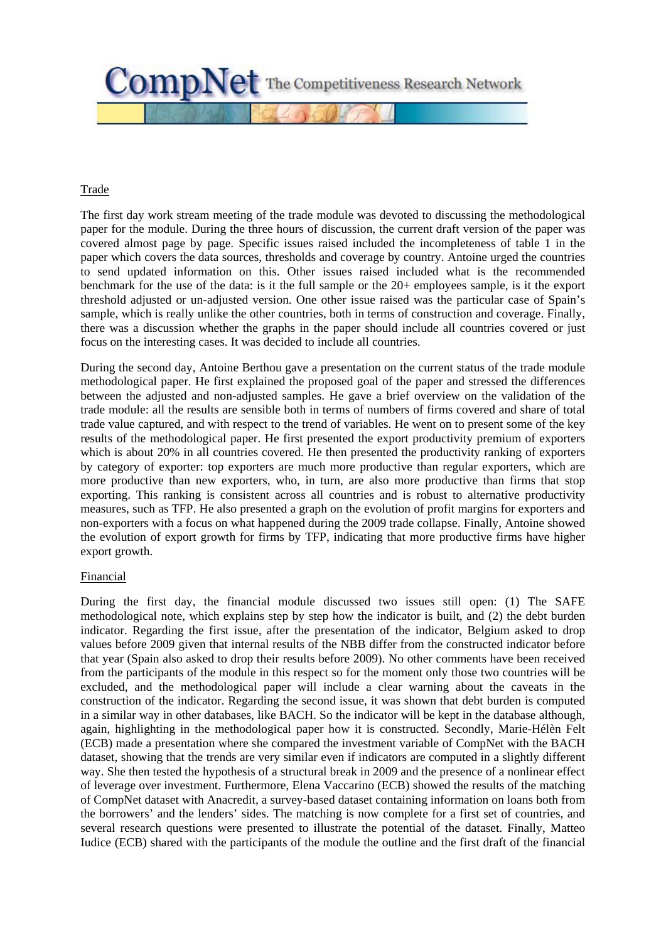

### Trade

The first day work stream meeting of the trade module was devoted to discussing the methodological paper for the module. During the three hours of discussion, the current draft version of the paper was covered almost page by page. Specific issues raised included the incompleteness of table 1 in the paper which covers the data sources, thresholds and coverage by country. Antoine urged the countries to send updated information on this. Other issues raised included what is the recommended benchmark for the use of the data: is it the full sample or the 20+ employees sample, is it the export threshold adjusted or un-adjusted version. One other issue raised was the particular case of Spain's sample, which is really unlike the other countries, both in terms of construction and coverage. Finally, there was a discussion whether the graphs in the paper should include all countries covered or just focus on the interesting cases. It was decided to include all countries.

During the second day, Antoine Berthou gave a presentation on the current status of the trade module methodological paper. He first explained the proposed goal of the paper and stressed the differences between the adjusted and non-adjusted samples. He gave a brief overview on the validation of the trade module: all the results are sensible both in terms of numbers of firms covered and share of total trade value captured, and with respect to the trend of variables. He went on to present some of the key results of the methodological paper. He first presented the export productivity premium of exporters which is about 20% in all countries covered. He then presented the productivity ranking of exporters by category of exporter: top exporters are much more productive than regular exporters, which are more productive than new exporters, who, in turn, are also more productive than firms that stop exporting. This ranking is consistent across all countries and is robust to alternative productivity measures, such as TFP. He also presented a graph on the evolution of profit margins for exporters and non-exporters with a focus on what happened during the 2009 trade collapse. Finally, Antoine showed the evolution of export growth for firms by TFP, indicating that more productive firms have higher export growth.

#### Financial

During the first day, the financial module discussed two issues still open: (1) The SAFE methodological note, which explains step by step how the indicator is built, and (2) the debt burden indicator. Regarding the first issue, after the presentation of the indicator, Belgium asked to drop values before 2009 given that internal results of the NBB differ from the constructed indicator before that year (Spain also asked to drop their results before 2009). No other comments have been received from the participants of the module in this respect so for the moment only those two countries will be excluded, and the methodological paper will include a clear warning about the caveats in the construction of the indicator. Regarding the second issue, it was shown that debt burden is computed in a similar way in other databases, like BACH. So the indicator will be kept in the database although, again, highlighting in the methodological paper how it is constructed. Secondly, Marie-Hélèn Felt (ECB) made a presentation where she compared the investment variable of CompNet with the BACH dataset, showing that the trends are very similar even if indicators are computed in a slightly different way. She then tested the hypothesis of a structural break in 2009 and the presence of a nonlinear effect of leverage over investment. Furthermore, Elena Vaccarino (ECB) showed the results of the matching of CompNet dataset with Anacredit, a survey-based dataset containing information on loans both from the borrowers' and the lenders' sides. The matching is now complete for a first set of countries, and several research questions were presented to illustrate the potential of the dataset. Finally, Matteo Iudice (ECB) shared with the participants of the module the outline and the first draft of the financial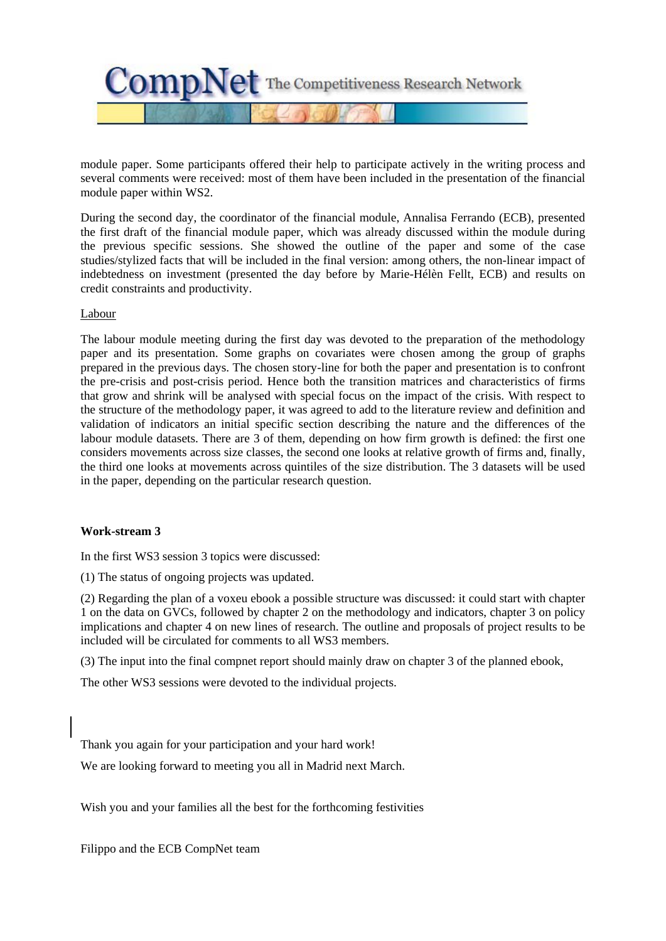

module paper. Some participants offered their help to participate actively in the writing process and several comments were received: most of them have been included in the presentation of the financial module paper within WS2.

During the second day, the coordinator of the financial module, Annalisa Ferrando (ECB), presented the first draft of the financial module paper, which was already discussed within the module during the previous specific sessions. She showed the outline of the paper and some of the case studies/stylized facts that will be included in the final version: among others, the non-linear impact of indebtedness on investment (presented the day before by Marie-Hélèn Fellt, ECB) and results on credit constraints and productivity.

#### Labour

The labour module meeting during the first day was devoted to the preparation of the methodology paper and its presentation. Some graphs on covariates were chosen among the group of graphs prepared in the previous days. The chosen story-line for both the paper and presentation is to confront the pre-crisis and post-crisis period. Hence both the transition matrices and characteristics of firms that grow and shrink will be analysed with special focus on the impact of the crisis. With respect to the structure of the methodology paper, it was agreed to add to the literature review and definition and validation of indicators an initial specific section describing the nature and the differences of the labour module datasets. There are 3 of them, depending on how firm growth is defined: the first one considers movements across size classes, the second one looks at relative growth of firms and, finally, the third one looks at movements across quintiles of the size distribution. The 3 datasets will be used in the paper, depending on the particular research question.

#### **Work-stream 3**

In the first WS3 session 3 topics were discussed:

(1) The status of ongoing projects was updated.

(2) Regarding the plan of a voxeu ebook a possible structure was discussed: it could start with chapter 1 on the data on GVCs, followed by chapter 2 on the methodology and indicators, chapter 3 on policy implications and chapter 4 on new lines of research. The outline and proposals of project results to be included will be circulated for comments to all WS3 members.

(3) The input into the final compnet report should mainly draw on chapter 3 of the planned ebook,

The other WS3 sessions were devoted to the individual projects.

Thank you again for your participation and your hard work!

We are looking forward to meeting you all in Madrid next March.

Wish you and your families all the best for the forthcoming festivities

Filippo and the ECB CompNet team